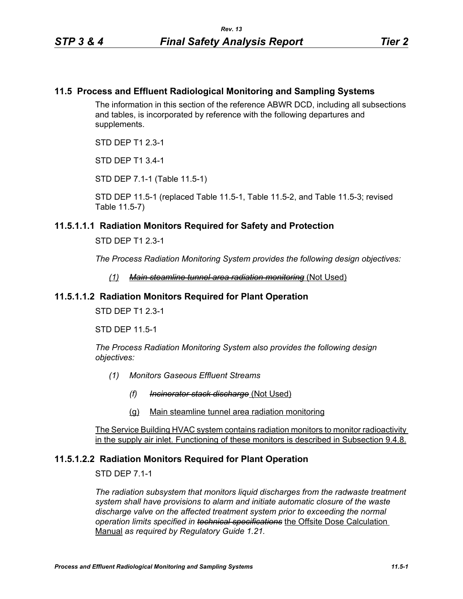## **11.5 Process and Effluent Radiological Monitoring and Sampling Systems**

The information in this section of the reference ABWR DCD, including all subsections and tables, is incorporated by reference with the following departures and supplements.

STD DEP T1 2.3-1

STD DEP T1 3.4-1

STD DEP 7.1-1 (Table 11.5-1)

STD DEP 11.5-1 (replaced Table 11.5-1, Table 11.5-2, and Table 11.5-3; revised Table 11.5-7)

## **11.5.1.1.1 Radiation Monitors Required for Safety and Protection**

STD DEP T1 2.3-1

*The Process Radiation Monitoring System provides the following design objectives:*

*(1) Main steamline tunnel area radiation monitoring* (Not Used)

#### **11.5.1.1.2 Radiation Monitors Required for Plant Operation**

STD DEP T1 2.3-1

STD DEP 11.5-1

*The Process Radiation Monitoring System also provides the following design objectives:*

- *(1) Monitors Gaseous Effluent Streams*
	- *(f) Incinerator stack discharge* (Not Used)
	- (g) Main steamline tunnel area radiation monitoring

The Service Building HVAC system contains radiation monitors to monitor radioactivity in the supply air inlet. Functioning of these monitors is described in Subsection 9.4.8.

# **11.5.1.2.2 Radiation Monitors Required for Plant Operation**

STD DEP 7.1-1

*The radiation subsystem that monitors liquid discharges from the radwaste treatment system shall have provisions to alarm and initiate automatic closure of the waste discharge valve on the affected treatment system prior to exceeding the normal operation limits specified in technical specifications* the Offsite Dose Calculation Manual *as required by Regulatory Guide 1.21.*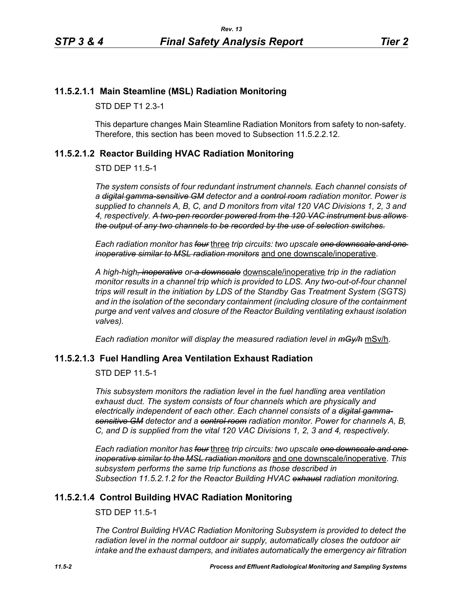# **11.5.2.1.1 Main Steamline (MSL) Radiation Monitoring**

STD DEP T1 2.3-1

This departure changes Main Steamline Radiation Monitors from safety to non-safety. Therefore, this section has been moved to Subsection 11.5.2.2.12.

# <span id="page-1-0"></span>**11.5.2.1.2 Reactor Building HVAC Radiation Monitoring**

STD DEP 11.5-1

*The system consists of four redundant instrument channels. Each channel consists of a digital gamma-sensitive GM detector and a control room radiation monitor. Power is supplied to channels A, B, C, and D monitors from vital 120 VAC Divisions 1, 2, 3 and 4, respectively. A two-pen recorder powered from the 120 VAC instrument bus allows the output of any two channels to be recorded by the use of selection switches.*

*Each radiation monitor has four* three *trip circuits: two upscale one downscale and one inoperative similar to MSL radiation monitors* and one downscale/inoperative.

*A high-high, inoperative or a downscale* downscale/inoperative *trip in the radiation monitor results in a channel trip which is provided to LDS. Any two-out-of-four channel trips will result in the initiation by LDS of the Standby Gas Treatment System (SGTS) and in the isolation of the secondary containment (including closure of the containment purge and vent valves and closure of the Reactor Building ventilating exhaust isolation valves).*

*Each radiation monitor will display the measured radiation level in mGy/h* mSv/h.

# **11.5.2.1.3 Fuel Handling Area Ventilation Exhaust Radiation**

STD DEP 11.5-1

*This subsystem monitors the radiation level in the fuel handling area ventilation exhaust duct. The system consists of four channels which are physically and electrically independent of each other. Each channel consists of a digital gammasensitive GM detector and a control room radiation monitor. Power for channels A, B, C, and D is supplied from the vital 120 VAC Divisions 1, 2, 3 and 4, respectively.*

*Each radiation monitor has four* three *trip circuits: two upscale one downscale and one inoperative similar to the MSL radiation monitors* and one downscale/inoperative. *This subsystem performs the same trip functions as those described in Subsection [11.5.2.1.2](#page-1-0) for the Reactor Building HVAC exhaust radiation monitoring.*

# **11.5.2.1.4 Control Building HVAC Radiation Monitoring**

STD DEP 11.5-1

*The Control Building HVAC Radiation Monitoring Subsystem is provided to detect the radiation level in the normal outdoor air supply, automatically closes the outdoor air intake and the exhaust dampers, and initiates automatically the emergency air filtration*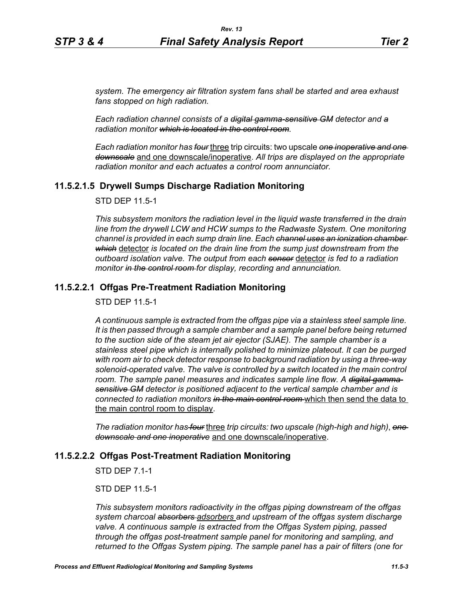*system. The emergency air filtration system fans shall be started and area exhaust fans stopped on high radiation.*

*Each radiation channel consists of a digital gamma-sensitive GM detector and a radiation monitor which is located in the control room.*

*Each radiation monitor has four* three trip circuits: two upscale *one inoperative and one downscale* and one downscale/inoperative. *All trips are displayed on the appropriate radiation monitor and each actuates a control room annunciator.*

## **11.5.2.1.5 Drywell Sumps Discharge Radiation Monitoring**

STD DEP 11.5-1

*This subsystem monitors the radiation level in the liquid waste transferred in the drain line from the drywell LCW and HCW sumps to the Radwaste System. One monitoring channel is provided in each sump drain line. Each channel uses an ionization chamber which* detector *is located on the drain line from the sump just downstream from the outboard isolation valve. The output from each sensor* detector *is fed to a radiation monitor in the control room for display, recording and annunciation.*

## **11.5.2.2.1 Offgas Pre-Treatment Radiation Monitoring**

STD DEP 11.5-1

*A continuous sample is extracted from the offgas pipe via a stainless steel sample line. It is then passed through a sample chamber and a sample panel before being returned to the suction side of the steam jet air ejector (SJAE). The sample chamber is a stainless steel pipe which is internally polished to minimize plateout. It can be purged with room air to check detector response to background radiation by using a three-way solenoid-operated valve. The valve is controlled by a switch located in the main control room. The sample panel measures and indicates sample line flow. A digital gammasensitive GM detector is positioned adjacent to the vertical sample chamber and is connected to radiation monitors in the main control room* which then send the data to the main control room to display.

*The radiation monitor has four* three *trip circuits: two upscale (high-high and high)*, *one downscale and one inoperative* and one downscale/inoperative.

#### **11.5.2.2.2 Offgas Post-Treatment Radiation Monitoring**

STD DEP 7.1-1

STD DEP 11.5-1

*This subsystem monitors radioactivity in the offgas piping downstream of the offgas system charcoal absorbers adsorbers and upstream of the offgas system discharge valve. A continuous sample is extracted from the Offgas System piping, passed through the offgas post-treatment sample panel for monitoring and sampling, and returned to the Offgas System piping. The sample panel has a pair of filters (one for*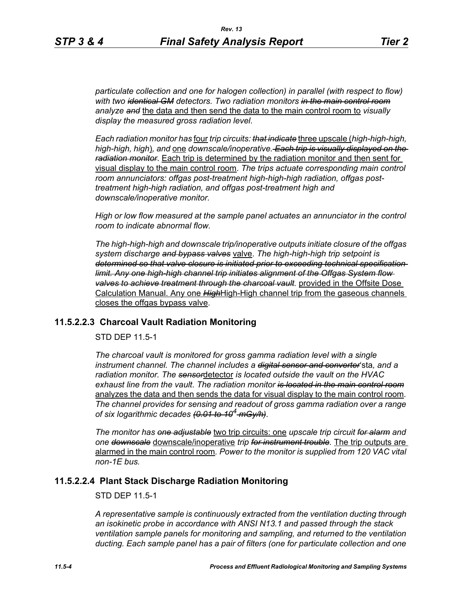*particulate collection and one for halogen collection) in parallel (with respect to flow) with two identical GM detectors. Two radiation monitors in the main control room analyze and* the data and then send the data to the main control room to *visually display the measured gross radiation level*.

*Each radiation monitor has* four *trip circuits: that indicate* three upscale (*high-high-high, high-high, high*)*, and* one *downscale/inoperative. Each trip is visually displayed on the radiation monitor*. Each trip is determined by the radiation monitor and then sent for visual display to the main control room. *The trips actuate corresponding main control room annunciators: offgas post-treatment high-high-high radiation, offgas posttreatment high-high radiation, and offgas post-treatment high and downscale/inoperative monitor.*

*High or low flow measured at the sample panel actuates an annunciator in the control room to indicate abnormal flow.*

*The high-high-high and downscale trip/inoperative outputs initiate closure of the offgas system discharge and bypass valves* valve. *The high-high-high trip setpoint is determined so that valve closure is initiated prior to exceeding technical specification limit. Any one high-high channel trip initiates alignment of the Offgas System flow valves to achieve treatment through the charcoal vault.* provided in the Offsite Dose Calculation Manual. Any one *High*High-High channel trip from the gaseous channels closes the offgas bypass valve.

#### **11.5.2.2.3 Charcoal Vault Radiation Monitoring**

STD DEP 11.5-1

*The charcoal vault is monitored for gross gamma radiation level with a single instrument channel. The channel includes a digital sensor and converter*'sta*, and a radiation monitor. The sensor*detector *is located outside the vault on the HVAC exhaust line from the vault*. *The radiation monitor is located in the main control room* analyzes the data and then sends the data for visual display to the main control room. *The channel provides for sensing and readout of gross gamma radiation over a range of six logarithmic decades (0.01 to 104 mGy/h)*.

*The monitor has one adjustable* two trip circuits: one *upscale trip circuit for alarm and one downscale* downscale/inoperative *trip for instrument trouble.* The trip outputs are alarmed in the main control room*. Power to the monitor is supplied from 120 VAC vital non-1E bus.*

## **11.5.2.2.4 Plant Stack Discharge Radiation Monitoring**

STD DEP 11.5-1

*A representative sample is continuously extracted from the ventilation ducting through an isokinetic probe in accordance with ANSI N13.1 and passed through the stack ventilation sample panels for monitoring and sampling, and returned to the ventilation ducting. Each sample panel has a pair of filters (one for particulate collection and one*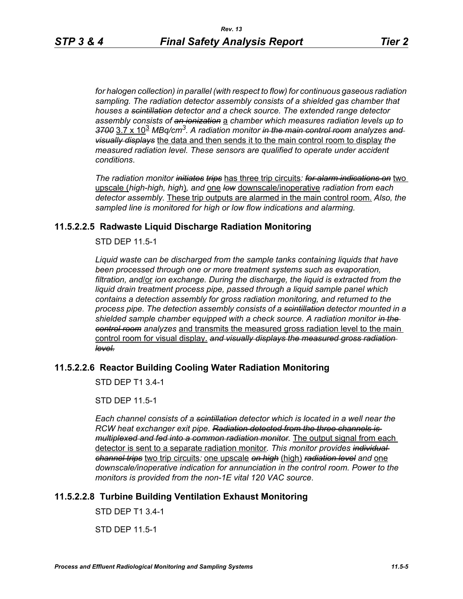*for halogen collection) in parallel (with respect to flow) for continuous gaseous radiation sampling. The radiation detector assembly consists of a shielded gas chamber that houses a scintillation detector and a check source. The extended range detector assembly consists of an ionization* a *chamber which measures radiation levels up to 3700* 3.7 x 10<sup>3</sup> *MBq/cm3. A radiation monitor in the main control room analyzes and visually displays* the data and then sends it to the main control room to display *the measured radiation level. These sensors are qualified to operate under accident conditions*.

*The radiation monitor initiates trips* has three trip circuits*: for alarm indications on* two upscale (*high-high, high*)*, and* one *low* downscale/inoperative *radiation from each detector assembly.* These trip outputs are alarmed in the main control room. *Also, the sampled line is monitored for high or low flow indications and alarming.*

# **11.5.2.2.5 Radwaste Liquid Discharge Radiation Monitoring**

STD DEP 11.5-1

*Liquid waste can be discharged from the sample tanks containing liquids that have been processed through one or more treatment systems such as evaporation, filtration, and*/or *ion exchange. During the discharge, the liquid is extracted from the liquid drain treatment process pipe, passed through a liquid sample panel which contains a detection assembly for gross radiation monitoring, and returned to the process pipe. The detection assembly consists of a scintillation detector mounted in a shielded sample chamber equipped with a check source. A radiation monitor in the control room analyzes* and transmits the measured gross radiation level to the main control room for visual display. *and visually displays the measured gross radiation level.*

# **11.5.2.2.6 Reactor Building Cooling Water Radiation Monitoring**

STD DEP T1 3.4-1

STD DEP 11.5-1

*Each channel consists of a scintillation detector which is located in a well near the RCW heat exchanger exit pipe. Radiation detected from the three channels is multiplexed and fed into a common radiation monitor.* The output signal from each detector is sent to a separate radiation monitor*. This monitor provides individual channel trips* two trip circuits*:* one upscale *on high* (high) *radiation level and* one *downscale/inoperative indication for annunciation in the control room. Power to the monitors is provided from the non-1E vital 120 VAC source*.

# **11.5.2.2.8 Turbine Building Ventilation Exhaust Monitoring**

STD DEP T1 3.4-1

STD DEP 11.5-1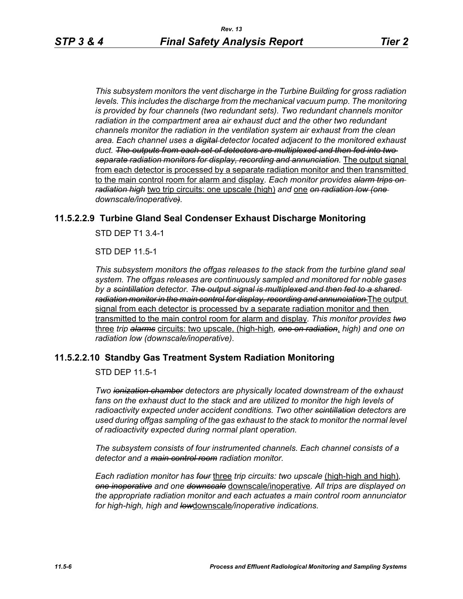*This subsystem monitors the vent discharge in the Turbine Building for gross radiation*  levels. This includes the discharge from the mechanical vacuum pump. The monitoring *is provided by four channels (two redundant sets). Two redundant channels monitor radiation in the compartment area air exhaust duct and the other two redundant channels monitor the radiation in the ventilation system air exhaust from the clean area. Each channel uses a digital detector located adjacent to the monitored exhaust duct. The outputs from each set of detectors are multiplexed and then fed into two separate radiation monitors for display, recording and annunciation.* The output signal from each detector is processed by a separate radiation monitor and then transmitted to the main control room for alarm and display*. Each monitor provides alarm trips on radiation high* two trip circuits: one upscale (high) *and* one *on radiation low (one downscale/inoperative).*

#### **11.5.2.2.9 Turbine Gland Seal Condenser Exhaust Discharge Monitoring**

STD DEP T1 3.4-1

STD DEP 11.5-1

*This subsystem monitors the offgas releases to the stack from the turbine gland seal system. The offgas releases are continuously sampled and monitored for noble gases by a scintillation detector. The output signal is multiplexed and then fed to a shared radiation monitor in the main control for display, recording and annunciation* The output signal from each detector is processed by a separate radiation monitor and then transmitted to the main control room for alarm and display*. This monitor provides two* three *trip alarms* circuits: two upscale, (high-high*, one on radiation*, *high) and one on radiation low (downscale/inoperative)*.

#### **11.5.2.2.10 Standby Gas Treatment System Radiation Monitoring**

STD DEP 11.5-1

*Two ionization chamber detectors are physically located downstream of the exhaust*  fans on the exhaust duct to the stack and are utilized to monitor the high levels of *radioactivity expected under accident conditions. Two other scintillation detectors are used during offgas sampling of the gas exhaust to the stack to monitor the normal level of radioactivity expected during normal plant operation.*

*The subsystem consists of four instrumented channels. Each channel consists of a detector and a main control room radiation monitor.*

*Each radiation monitor has four* three *trip circuits: two upscale* (high-high and high)*, one inoperative and one downscale* downscale/inoperative*. All trips are displayed on the appropriate radiation monitor and each actuates a main control room annunciator for high-high, high and low*downscale*/inoperative indications.*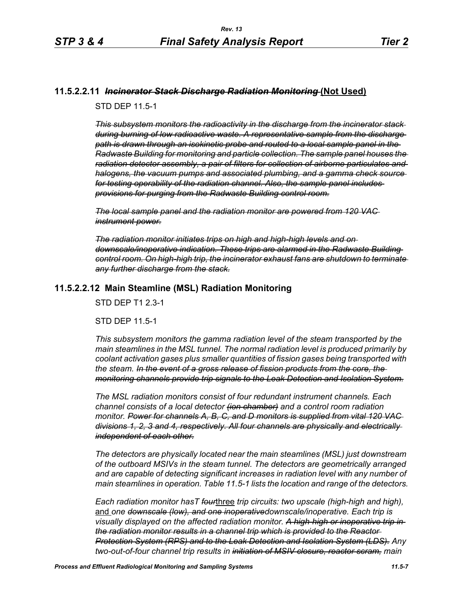#### **11.5.2.2.11** *Incinerator Stack Discharge Radiation Monitoring* **(Not Used)**

STD DEP 11.5-1

*This subsystem monitors the radioactivity in the discharge from the incinerator stack during burning of low radioactive waste. A representative sample from the discharge path is drawn through an isokinetic probe and routed to a local sample panel in the Radwaste Building for monitoring and particle collection. The sample panel houses the radiation detector assembly, a pair of filters for collection of airborne particulates and halogens, the vacuum pumps and associated plumbing, and a gamma check source for testing operability of the radiation channel. Also, the sample panel includes provisions for purging from the Radwaste Building control room.*

*The local sample panel and the radiation monitor are powered from 120 VAC instrument power.*

*The radiation monitor initiates trips on high and high-high levels and on downscale/inoperative indication. These trips are alarmed in the Radwaste Building control room. On high-high trip, the incinerator exhaust fans are shutdown to terminate any further discharge from the stack.*

#### **11.5.2.2.12 Main Steamline (MSL) Radiation Monitoring**

STD DEP T1 2.3-1

STD DEP 11.5-1

*This subsystem monitors the gamma radiation level of the steam transported by the main steamlines in the MSL tunnel. The normal radiation level is produced primarily by coolant activation gases plus smaller quantities of fission gases being transported with the steam. In the event of a gross release of fission products from the core, the monitoring channels provide trip signals to the Leak Detection and Isolation System.*

*The MSL radiation monitors consist of four redundant instrument channels. Each channel consists of a local detector (ion chamber) and a control room radiation monitor. Power for channels A, B, C, and D monitors is supplied from vital 120 VAC divisions 1, 2, 3 and 4, respectively. All four channels are physically and electrically independent of each other.*

*The detectors are physically located near the main steamlines (MSL) just downstream of the outboard MSIVs in the steam tunnel. The detectors are geometrically arranged and are capable of detecting significant increases in radiation level with any number of main steamlines in operation. Table 11.5-1 lists the location and range of the detectors.*

*Each radiation monitor hasT four*three *trip circuits: two upscale (high-high and high),*  and *one downscale (low), and one inoperativedownscale/inoperative. Each trip is visually displayed on the affected radiation monitor. A high-high or inoperative trip in the radiation monitor results in a channel trip which is provided to the Reactor Protection System (RPS) and to the Leak Detection and Isolation System (LDS). Any two-out-of-four channel trip results in initiation of MSIV closure, reactor scram, main*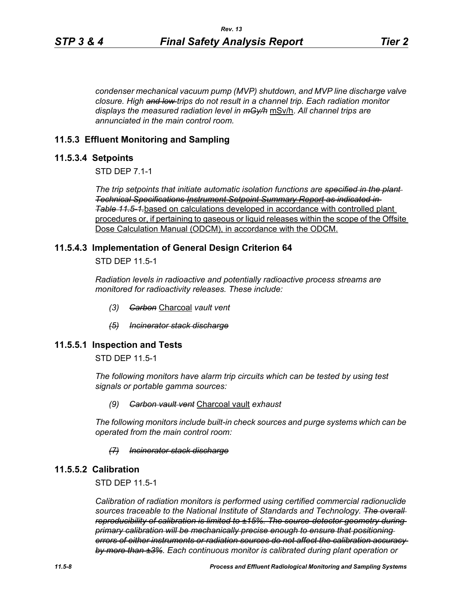*condenser mechanical vacuum pump (MVP) shutdown, and MVP line discharge valve closure. High and low trips do not result in a channel trip. Each radiation monitor displays the measured radiation level in mGy/h* mSv/h. *All channel trips are annunciated in the main control room.*

## **11.5.3 Effluent Monitoring and Sampling**

#### **11.5.3.4 Setpoints**

STD DEP 7.1-1

*The trip setpoints that initiate automatic isolation functions are specified in the plant Technical Specifications Instrument Setpoint Summary Report as indicated in Table [11.5-1.](#page-12-0)*based on calculations developed in accordance with controlled plant procedures or, if pertaining to gaseous or liquid releases within the scope of the Offsite Dose Calculation Manual (ODCM), in accordance with the ODCM.

#### **11.5.4.3 Implementation of General Design Criterion 64**

STD DEP 11.5-1

*Radiation levels in radioactive and potentially radioactive process streams are monitored for radioactivity releases. These include:*

- *(3) Carbon* Charcoal *vault vent*
- *(5) Incinerator stack discharge*

#### **11.5.5.1 Inspection and Tests**

STD DEP 11.5-1

*The following monitors have alarm trip circuits which can be tested by using test signals or portable gamma sources:*

#### *(9) Carbon vault vent* Charcoal vault *exhaust*

*The following monitors include built-in check sources and purge systems which can be operated from the main control room:*

#### *(7) Incinerator stack discharge*

#### **11.5.5.2 Calibration**

STD DEP 11.5-1

*Calibration of radiation monitors is performed using certified commercial radionuclide sources traceable to the National Institute of Standards and Technology. The overall reproducibility of calibration is limited to ±15%. The source-detector geometry during primary calibration will be mechanically precise enough to ensure that positioning errors of either instruments or radiation sources do not affect the calibration accuracy by more than ±3%. Each continuous monitor is calibrated during plant operation or*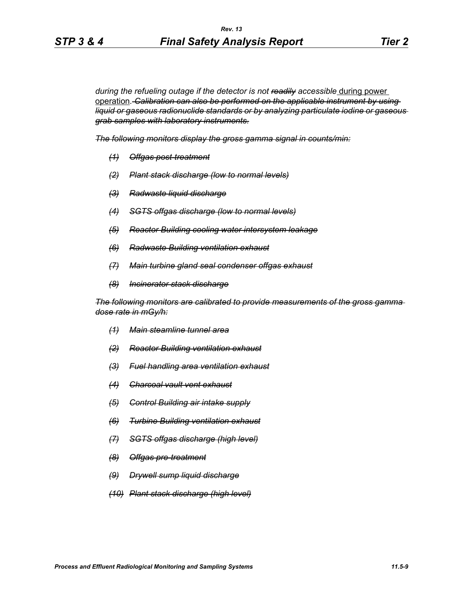during the refueling outage if the detector is not readily accessible during power operation*. Calibration can also be performed on the applicable instrument by using liquid or gaseous radionuclide standards or by analyzing particulate iodine or gaseous grab samples with laboratory instruments.*

*The following monitors display the gross gamma signal in counts/min:*

- *(1) Offgas post-treatment*
- *(2) Plant stack discharge (low to normal levels)*
- *(3) Radwaste liquid discharge*
- *(4) SGTS offgas discharge (low to normal levels)*
- *(5) Reactor Building cooling water intersystem leakage*
- *(6) Radwaste Building ventilation exhaust*
- *(7) Main turbine gland seal condenser offgas exhaust*
- *(8) Incinerator stack discharge*

*The following monitors are calibrated to provide measurements of the gross gamma dose rate in mGy/h:*

- *(1) Main steamline tunnel area*
- *(2) Reactor Building ventilation exhaust*
- *(3) Fuel handling area ventilation exhaust*
- *(4) Charcoal vault vent exhaust*
- *(5) Control Building air intake supply*
- *(6) Turbine Building ventilation exhaust*
- *(7) SGTS offgas discharge (high level)*
- *(8) Offgas pre-treatment*
- *(9) Drywell sump liquid discharge*
- *(10) Plant stack discharge (high level)*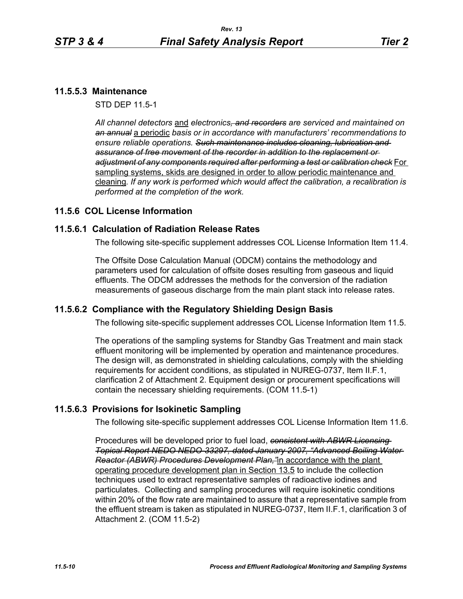## **11.5.5.3 Maintenance**

STD DEP 11.5-1

*All channel detectors* and *electronics, and recorders are serviced and maintained on an annual* a periodic *basis or in accordance with manufacturers' recommendations to ensure reliable operations. Such maintenance includes cleaning, lubrication and assurance of free movement of the recorder in addition to the replacement or adjustment of any components required after performing a test or calibration check* For sampling systems, skids are designed in order to allow periodic maintenance and cleaning*. If any work is performed which would affect the calibration, a recalibration is performed at the completion of the work.*

## **11.5.6 COL License Information**

#### **11.5.6.1 Calculation of Radiation Release Rates**

The following site-specific supplement addresses COL License Information Item 11.4.

The Offsite Dose Calculation Manual (ODCM) contains the methodology and parameters used for calculation of offsite doses resulting from gaseous and liquid effluents. The ODCM addresses the methods for the conversion of the radiation measurements of gaseous discharge from the main plant stack into release rates.

#### **11.5.6.2 Compliance with the Regulatory Shielding Design Basis**

The following site-specific supplement addresses COL License Information Item 11.5.

The operations of the sampling systems for Standby Gas Treatment and main stack effluent monitoring will be implemented by operation and maintenance procedures. The design will, as demonstrated in shielding calculations, comply with the shielding requirements for accident conditions, as stipulated in NUREG-0737, Item II.F.1, clarification 2 of Attachment 2. Equipment design or procurement specifications will contain the necessary shielding requirements. (COM 11.5-1)

#### **11.5.6.3 Provisions for Isokinetic Sampling**

The following site-specific supplement addresses COL License Information Item 11.6.

Procedures will be developed prior to fuel load, *consistent with ABWR Licensing Topical Report NEDO NEDO-33297, dated January 2007, "Advanced Boiling Water Reactor (ABWR) Procedures Development Plan,"*in accordance with the plant operating procedure development plan in Section 13.5 to include the collection techniques used to extract representative samples of radioactive iodines and particulates. Collecting and sampling procedures will require isokinetic conditions within 20% of the flow rate are maintained to assure that a representative sample from the effluent stream is taken as stipulated in NUREG-0737, Item II.F.1, clarification 3 of Attachment 2. (COM 11.5-2)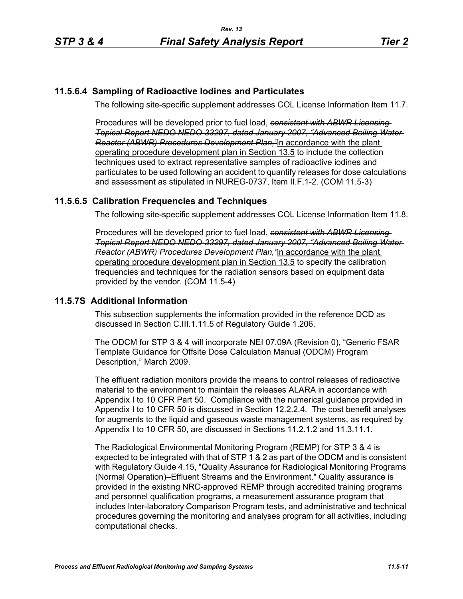# **11.5.6.4 Sampling of Radioactive Iodines and Particulates**

The following site-specific supplement addresses COL License Information Item 11.7.

Procedures will be developed prior to fuel load, *consistent with ABWR Licensing Topical Report NEDO NEDO-33297, dated January 2007, "Advanced Boiling Water Reactor (ABWR) Procedures Development Plan,"*in accordance with the plant operating procedure development plan in Section 13.5 to include the collection techniques used to extract representative samples of radioactive iodines and particulates to be used following an accident to quantify releases for dose calculations and assessment as stipulated in NUREG-0737, Item II.F.1-2. (COM 11.5-3)

# **11.5.6.5 Calibration Frequencies and Techniques**

The following site-specific supplement addresses COL License Information Item 11.8.

Procedures will be developed prior to fuel load, *consistent with ABWR Licensing Topical Report NEDO NEDO-33297, dated January 2007, "Advanced Boiling Water Reactor (ABWR) Procedures Development Plan,"*in accordance with the plant operating procedure development plan in Section 13.5 to specify the calibration frequencies and techniques for the radiation sensors based on equipment data provided by the vendor. (COM 11.5-4)

# **11.5.7S Additional Information**

This subsection supplements the information provided in the reference DCD as discussed in Section C.III.1.11.5 of Regulatory Guide 1.206.

The ODCM for STP 3 & 4 will incorporate NEI 07.09A (Revision 0), "Generic FSAR Template Guidance for Offsite Dose Calculation Manual (ODCM) Program Description," March 2009.

The effluent radiation monitors provide the means to control releases of radioactive material to the environment to maintain the releases ALARA in accordance with Appendix I to 10 CFR Part 50. Compliance with the numerical guidance provided in Appendix I to 10 CFR 50 is discussed in Section 12.2.2.4. The cost benefit analyses for augments to the liquid and gaseous waste management systems, as required by Appendix I to 10 CFR 50, are discussed in Sections 11.2.1.2 and 11.3.11.1.

The Radiological Environmental Monitoring Program (REMP) for STP 3 & 4 is expected to be integrated with that of STP 1 & 2 as part of the ODCM and is consistent with Regulatory Guide 4.15, "Quality Assurance for Radiological Monitoring Programs (Normal Operation)–Effluent Streams and the Environment." Quality assurance is provided in the existing NRC-approved REMP through accredited training programs and personnel qualification programs, a measurement assurance program that includes Inter-laboratory Comparison Program tests, and administrative and technical procedures governing the monitoring and analyses program for all activities, including computational checks.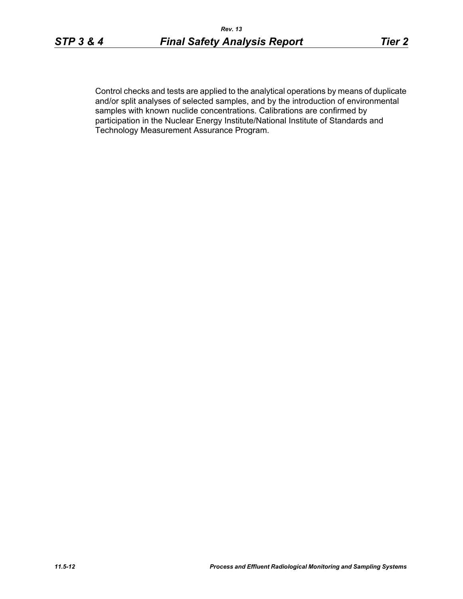Control checks and tests are applied to the analytical operations by means of duplicate and/or split analyses of selected samples, and by the introduction of environmental samples with known nuclide concentrations. Calibrations are confirmed by participation in the Nuclear Energy Institute/National Institute of Standards and Technology Measurement Assurance Program.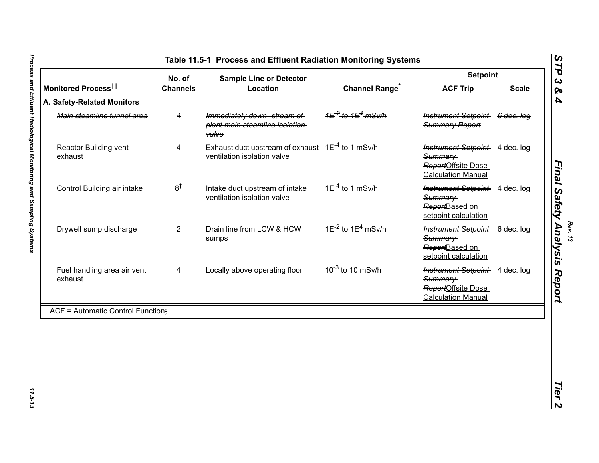|                                          | No. of          | <b>Sample Line or Detector</b>                                                       |                             | <b>Setpoint</b>                                                                                     |                       |
|------------------------------------------|-----------------|--------------------------------------------------------------------------------------|-----------------------------|-----------------------------------------------------------------------------------------------------|-----------------------|
| Monitored Process <sup>††</sup>          | <b>Channels</b> | Location                                                                             | <b>Channel Range</b>        | <b>ACF Trip</b>                                                                                     | <b>Scale</b>          |
| A. Safety-Related Monitors               |                 |                                                                                      |                             |                                                                                                     |                       |
| Main steamline tunnel area               | 4               | Immediately down-stream of<br>plant main steamline isolation-<br><b>valve</b>        |                             | <b>Instrument Setpoint</b><br>Summary Report                                                        | <del>6 dec. loq</del> |
| Reactor Building vent<br>exhaust         | 4               | Exhaust duct upstream of exhaust $1E^{-4}$ to 1 mSv/h<br>ventilation isolation valve |                             | <b>Instrument Setpoint</b> 4 dec. log<br>Summary<br>ReportOffsite Dose<br><b>Calculation Manual</b> |                       |
| Control Building air intake              | 8 <sup>†</sup>  | Intake duct upstream of intake<br>ventilation isolation valve                        | $1E^{-4}$ to 1 mSv/h        | <b>Instrument Setpoint</b> 4 dec. log<br>Summary<br>ReportBased on<br>setpoint calculation          |                       |
| Drywell sump discharge                   | $\overline{2}$  | Drain line from LCW & HCW<br>sumps                                                   | $1E^{-2}$ to $1E^{4}$ mSv/h | Instrument Setpoint 6 dec. log<br>Summary<br>ReportBased on<br>setpoint calculation                 |                       |
| Fuel handling area air vent<br>exhaust   | 4               | Locally above operating floor                                                        | $10^{-3}$ to 10 mSv/h       | <b>Instrument Setpoint</b> 4 dec. log<br>Summary<br>ReportOffsite Dose<br><b>Calculation Manual</b> |                       |
| <b>ACF = Automatic Control Function;</b> |                 |                                                                                      |                             |                                                                                                     |                       |

<span id="page-12-0"></span>11.5-13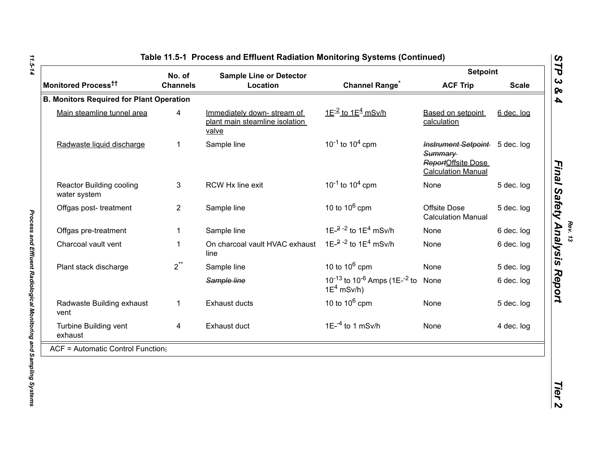|                                                 | No. of          | <b>Sample Line or Detector</b>                                        |                                                                                        | <b>Setpoint</b>                                                                              |              |  |
|-------------------------------------------------|-----------------|-----------------------------------------------------------------------|----------------------------------------------------------------------------------------|----------------------------------------------------------------------------------------------|--------------|--|
| Monitored Process <sup>tt</sup>                 | <b>Channels</b> | Location                                                              | <b>Channel Range<sup>*</sup></b>                                                       | <b>ACF Trip</b>                                                                              | <b>Scale</b> |  |
| <b>B. Monitors Required for Plant Operation</b> |                 |                                                                       |                                                                                        |                                                                                              |              |  |
| Main steamline tunnel area                      | 4               | Immediately down-stream of<br>plant main steamline isolation<br>valve | $1E^{-2}$ to $1E^{4}$ mSv/h                                                            | Based on setpoint<br>calculation                                                             | 6 dec. log   |  |
| Radwaste liquid discharge                       | 1               | Sample line                                                           | $10^{-1}$ to $10^{4}$ cpm                                                              | Instrument Setpoint 5 dec. log<br>Summary<br>ReportOffsite Dose<br><b>Calculation Manual</b> |              |  |
| <b>Reactor Building cooling</b><br>water system | 3               | RCW Hx line exit                                                      | $10^{-1}$ to $10^{4}$ cpm                                                              | None                                                                                         | 5 dec. log   |  |
| Offgas post-treatment                           | $\overline{2}$  | Sample line                                                           | 10 to $10^6$ cpm                                                                       | Offsite Dose<br><b>Calculation Manual</b>                                                    | 5 dec. log   |  |
| Offgas pre-treatment                            | 1               | Sample line                                                           | 1E $^{-2}$ - <sup>2</sup> to 1E <sup>4</sup> mSv/h                                     | None                                                                                         | 6 dec. log   |  |
| Charcoal vault vent                             | 1               | On charcoal vault HVAC exhaust<br>line                                | 1E <sup>-2-2</sup> to 1E <sup>4</sup> mSv/h                                            | None                                                                                         | 6 dec. log   |  |
| Plant stack discharge                           | $2^{\ast\ast}$  | Sample line                                                           | 10 to $10^6$ cpm                                                                       | None                                                                                         | 5 dec. log   |  |
|                                                 |                 | Sample line                                                           | 10 <sup>-13</sup> to 10 <sup>-6</sup> Amps (1E- <sup>-2</sup> to None<br>$1E^4$ mSv/h) |                                                                                              | 6 dec. log   |  |
| Radwaste Building exhaust<br>vent               | $\mathbf{1}$    | <b>Exhaust ducts</b>                                                  | 10 to $10^6$ cpm                                                                       | None                                                                                         | 5 dec. log   |  |
| Turbine Building vent<br>exhaust                | 4               | Exhaust duct                                                          | $1E^{-4}$ to 1 mSv/h                                                                   | None                                                                                         | 4 dec. log   |  |
| ACF = Automatic Control Function;               |                 |                                                                       |                                                                                        |                                                                                              |              |  |

11.5-14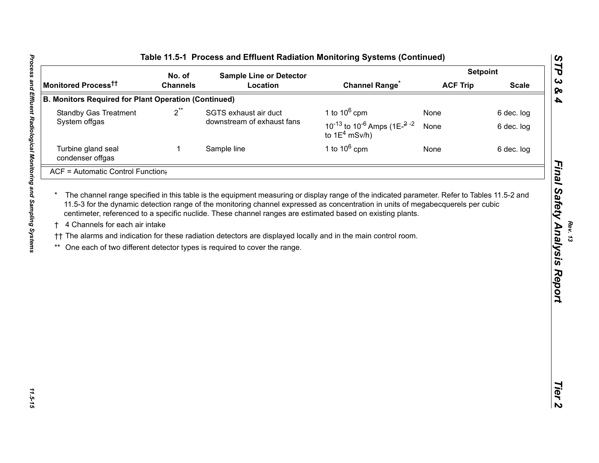|                                                             | No. of          | <b>Sample Line or Detector</b>                                                                                                                                                             |                                                                                                             | <b>Setpoint</b> |              |
|-------------------------------------------------------------|-----------------|--------------------------------------------------------------------------------------------------------------------------------------------------------------------------------------------|-------------------------------------------------------------------------------------------------------------|-----------------|--------------|
| Monitored Process <sup>tt</sup>                             | <b>Channels</b> | Location                                                                                                                                                                                   | <b>Channel Range</b>                                                                                        | <b>ACF Trip</b> | <b>Scale</b> |
| <b>B. Monitors Required for Plant Operation (Continued)</b> |                 |                                                                                                                                                                                            |                                                                                                             |                 |              |
| <b>Standby Gas Treatment</b>                                | $2^{**}$        | SGTS exhaust air duct                                                                                                                                                                      | 1 to $10^6$ cpm                                                                                             | None            | 6 dec. log   |
| System offgas                                               |                 | downstream of exhaust fans                                                                                                                                                                 | 10 <sup>-13</sup> to 10 <sup>-6</sup> Amps (1E <sup><math>-2</math></sup> <sup>-2</sup><br>to $1E^4$ mSv/h) | None            | 6 dec. log   |
| Turbine gland seal<br>condenser offgas                      | 1               | Sample line                                                                                                                                                                                | 1 to $10^6$ cpm                                                                                             | None            | 6 dec. log   |
| ACF = Automatic Control Function;                           |                 |                                                                                                                                                                                            |                                                                                                             |                 |              |
| 4 Channels for each air intake                              |                 | †† The alarms and indication for these radiation detectors are displayed locally and in the main control room.<br>One each of two different detector types is required to cover the range. | centimeter, referenced to a specific nuclide. These channel ranges are estimated based on existing plants.  |                 |              |
|                                                             |                 |                                                                                                                                                                                            |                                                                                                             |                 |              |

11.5-15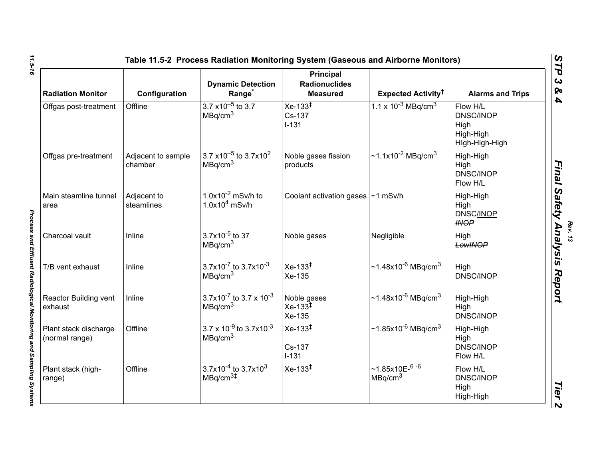| <b>Radiation Monitor</b>                | Configuration                 | <b>Dynamic Detection</b><br>Range <sup>*</sup>                      | Principal<br><b>Radionuclides</b><br><b>Measured</b> | Expected Activity <sup>†</sup>                  | <b>Alarms and Trips</b>                                             |
|-----------------------------------------|-------------------------------|---------------------------------------------------------------------|------------------------------------------------------|-------------------------------------------------|---------------------------------------------------------------------|
| Offgas post-treatment                   | Offline                       | $3.7 \times 10^{-5}$ to 3.7<br>MBq/cm <sup>3</sup>                  | $Xe-133^{1}$<br>Cs-137<br>$I - 131$                  | 1.1 x $10^{-3}$ MBq/cm <sup>3</sup>             | Flow H/L<br><b>DNSC/INOP</b><br>High<br>High-High<br>Hlgh-High-High |
| Offgas pre-treatment                    | Adjacent to sample<br>chamber | 3.7 x10 <sup>-5</sup> to 3.7x10 <sup>2</sup><br>MBq/cm <sup>3</sup> | Noble gases fission<br>products                      | $\sim$ 1.1x10 <sup>-2</sup> MBq/cm <sup>3</sup> | High-High<br>High<br>DNSC/INOP<br>Flow H/L                          |
| Main steamline tunnel<br>area           | Adjacent to<br>steamlines     | 1.0 $\times$ 10 <sup>-2</sup> mSv/h to<br>$1.0x104$ mSv/h           | Coolant activation gases $\sim$ 1 mSv/h              |                                                 | High-High<br>High<br>DNSC/INOP<br><b>INOP</b>                       |
| Charcoal vault                          | Inline                        | $3.7x10^{-5}$ to 37<br>MBq/cm <sup>3</sup>                          | Noble gases                                          | Negligible                                      | High<br>LowINOP                                                     |
| T/B vent exhaust                        | Inline                        | $3.7x10^{-7}$ to $3.7x10^{-3}$<br>MBq/cm <sup>3</sup>               | $Xe-133^{\ddagger}$<br>Xe-135                        | $~1.48x10^{-6}$ MBq/cm <sup>3</sup>             | High<br><b>DNSC/INOP</b>                                            |
| Reactor Building vent<br>exhaust        | Inline                        | $3.7x10^{-7}$ to 3.7 x 10 <sup>-3</sup><br>MBq/cm <sup>3</sup>      | Noble gases<br>$Xe-133^{\ddagger}$<br>Xe-135         | $~1.48x10^{-6}$ MBq/cm <sup>3</sup>             | High-High<br>High<br>DNSC/INOP                                      |
| Plant stack discharge<br>(normal range) | Offline                       | $3.7 \times 10^{-9}$ to 3.7x10 <sup>-3</sup><br>MBq/cm <sup>3</sup> | $Xe-133^{\ddagger}$<br>Cs-137<br>$I-131$             | $~1.85x10^{-6}$ MBq/cm <sup>3</sup>             | High-High<br>High<br><b>DNSC/INOP</b><br>Flow H/L                   |
| Plant stack (high-<br>range)            | Offline                       | $3.7x10^{-4}$ to 3.7x10 <sup>3</sup><br>MBq/cm <sup>3#</sup>        | $Xe-133^{1}$                                         | ~1.85x10 $E$ -6 -6<br>MBq/cm <sup>3</sup>       | Flow H/L<br><b>DNSC/INOP</b><br>High<br>High-High                   |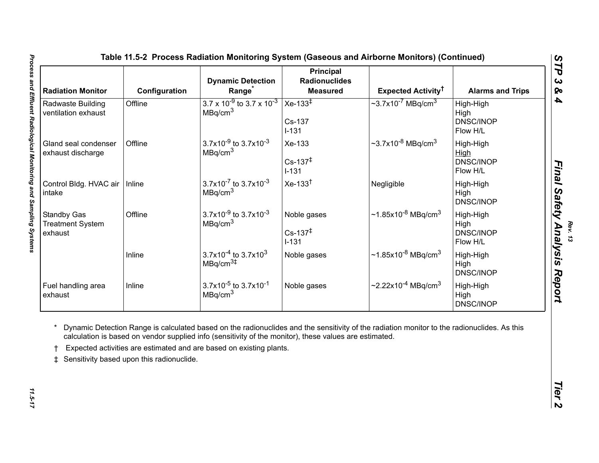| <b>Radiation Monitor</b>                                 | Configuration | <b>Dynamic Detection</b><br>Range                                     | <b>Principal</b><br><b>Radionuclides</b><br><b>Measured</b> | <b>Expected Activity<sup>†</sup></b>            | <b>Alarms and Trips</b>                                  |
|----------------------------------------------------------|---------------|-----------------------------------------------------------------------|-------------------------------------------------------------|-------------------------------------------------|----------------------------------------------------------|
| Radwaste Building<br>ventilation exhaust                 | Offline       | $3.7 \times 10^{-9}$ to 3.7 x 10 <sup>-3</sup><br>MBq/cm <sup>3</sup> | $Xe-133^{\frac{1}{4}}$<br>Cs-137<br>$I - 131$               | $\sim$ 3.7x10 <sup>-7</sup> MBq/cm <sup>3</sup> | High-High<br>High<br>DNSC/INOP<br>Flow H/L               |
| Gland seal condenser<br>exhaust discharge                | Offline       | 3.7x10 $-9$ to 3.7x10 $-3$<br>MBq/cm <sup>3</sup>                     | Xe-133<br>$Cs - 137^+$<br>$I - 131$                         | ~3.7x10 <sup>-8</sup> MBq/cm <sup>3</sup>       | High-High<br><b>High</b><br><b>DNSC/INOP</b><br>Flow H/L |
| Control Bldg. HVAC air<br>intake                         | Inline        | $3.7x10^{-7}$ to $3.7x10^{-3}$<br>MBq/cm <sup>3</sup>                 | $Xe-133^{\dagger}$                                          | Negligible                                      | High-High<br>High<br>DNSC/INOP                           |
| <b>Standby Gas</b><br><b>Treatment System</b><br>exhaust | Offline       | 3.7x10 <sup>-9</sup> to 3.7x10 <sup>-3</sup><br>MBq/cm <sup>3</sup>   | Noble gases<br>$Cs - 137^{\ddagger}$<br>$I-131$             | ~1.85x10 <sup>-8</sup> MBq/cm <sup>3</sup>      | High-High<br>High<br><b>DNSC/INOP</b><br>Flow H/L        |
|                                                          | Inline        | 3.7x10 <sup>-4</sup> to 3.7x10 <sup>3</sup><br>MBq/cm <sup>3</sup>    | Noble gases                                                 | ~1.85x10 <sup>-8</sup> MBq/cm <sup>3</sup>      | High-High<br>High<br>DNSC/INOP                           |
| Fuel handling area<br>exhaust                            | Inline        | 3.7x10 $^{-5}$ to 3.7x10 $^{-1}$<br>MBq/cm <sup>3</sup>               | Noble gases                                                 | ~2.22x10 <sup>-4</sup> MBq/cm <sup>3</sup>      | High-High<br>High<br><b>DNSC/INOP</b>                    |

<span id="page-16-0"></span>11.5-17